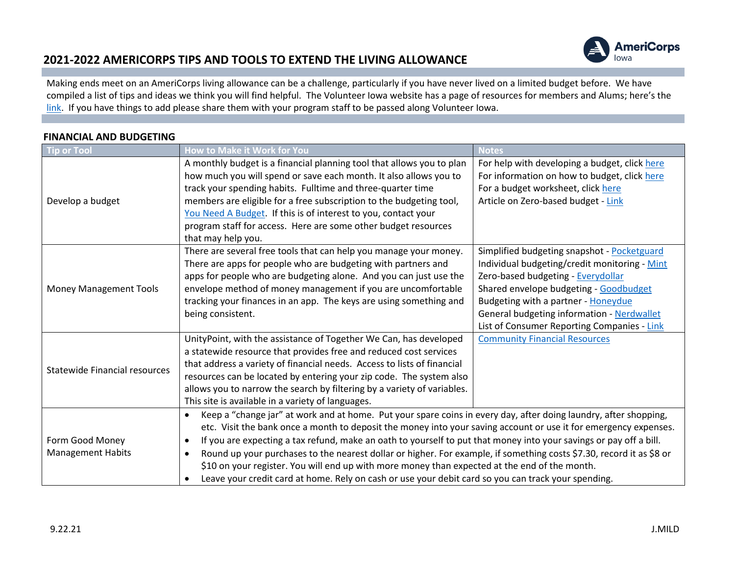

Making ends meet on an AmeriCorps living allowance can be a challenge, particularly if you have never lived on a limited budget before. We have compiled a list of tips and ideas we think you will find helpful. The Volunteer Iowa website has a page of resources for members and Alums; here's the [link.](https://www.volunteeriowa.org/resources-current-americorps-members-and-alums) If you have things to add please share them with your program staff to be passed along Volunteer Iowa.

| Tip or Tool                                 | How to Make it Work for You                                                                                                                                                                                                                                                                                                                                                                                                                                                                                                                                                                                                                                                                                                       | <b>Notes</b>                                                                                                                                                                                                                                                                                                     |
|---------------------------------------------|-----------------------------------------------------------------------------------------------------------------------------------------------------------------------------------------------------------------------------------------------------------------------------------------------------------------------------------------------------------------------------------------------------------------------------------------------------------------------------------------------------------------------------------------------------------------------------------------------------------------------------------------------------------------------------------------------------------------------------------|------------------------------------------------------------------------------------------------------------------------------------------------------------------------------------------------------------------------------------------------------------------------------------------------------------------|
| Develop a budget                            | A monthly budget is a financial planning tool that allows you to plan<br>how much you will spend or save each month. It also allows you to<br>track your spending habits. Fulltime and three-quarter time<br>members are eligible for a free subscription to the budgeting tool,<br>You Need A Budget. If this is of interest to you, contact your                                                                                                                                                                                                                                                                                                                                                                                | For help with developing a budget, click here<br>For information on how to budget, click here<br>For a budget worksheet, click here<br>Article on Zero-based budget - Link                                                                                                                                       |
|                                             | program staff for access. Here are some other budget resources<br>that may help you.                                                                                                                                                                                                                                                                                                                                                                                                                                                                                                                                                                                                                                              |                                                                                                                                                                                                                                                                                                                  |
| <b>Money Management Tools</b>               | There are several free tools that can help you manage your money.<br>There are apps for people who are budgeting with partners and<br>apps for people who are budgeting alone. And you can just use the<br>envelope method of money management if you are uncomfortable<br>tracking your finances in an app. The keys are using something and<br>being consistent.                                                                                                                                                                                                                                                                                                                                                                | Simplified budgeting snapshot - Pocketguard<br>Individual budgeting/credit monitoring - Mint<br>Zero-based budgeting - Everydollar<br>Shared envelope budgeting - Goodbudget<br>Budgeting with a partner - Honeydue<br>General budgeting information - Nerdwallet<br>List of Consumer Reporting Companies - Link |
| Statewide Financial resources               | UnityPoint, with the assistance of Together We Can, has developed<br>a statewide resource that provides free and reduced cost services<br>that address a variety of financial needs. Access to lists of financial<br>resources can be located by entering your zip code. The system also<br>allows you to narrow the search by filtering by a variety of variables.<br>This site is available in a variety of languages.                                                                                                                                                                                                                                                                                                          | <b>Community Financial Resources</b>                                                                                                                                                                                                                                                                             |
| Form Good Money<br><b>Management Habits</b> | Keep a "change jar" at work and at home. Put your spare coins in every day, after doing laundry, after shopping,<br>$\bullet$<br>etc. Visit the bank once a month to deposit the money into your saving account or use it for emergency expenses.<br>If you are expecting a tax refund, make an oath to yourself to put that money into your savings or pay off a bill.<br>$\bullet$<br>Round up your purchases to the nearest dollar or higher. For example, if something costs \$7.30, record it as \$8 or<br>$\bullet$<br>\$10 on your register. You will end up with more money than expected at the end of the month.<br>Leave your credit card at home. Rely on cash or use your debit card so you can track your spending. |                                                                                                                                                                                                                                                                                                                  |

#### **FINANCIAL AND BUDGETING**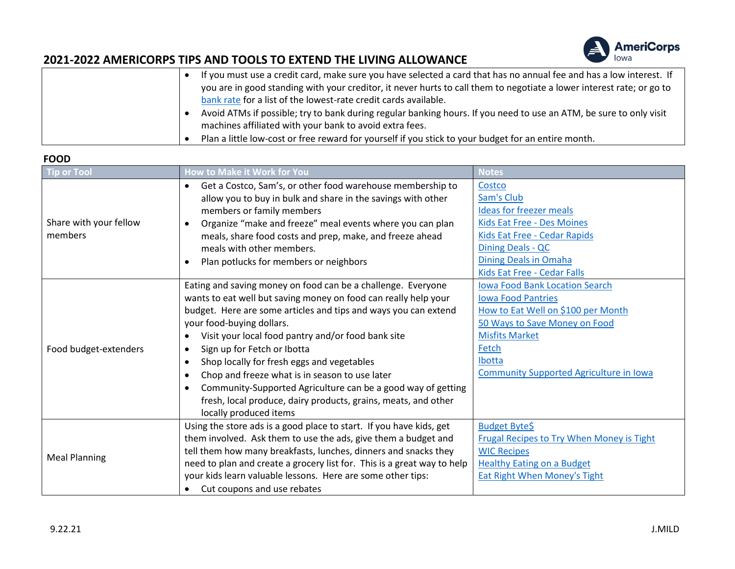

| If you must use a credit card, make sure you have selected a card that has no annual fee and has a low interest. If   |
|-----------------------------------------------------------------------------------------------------------------------|
| you are in good standing with your creditor, it never hurts to call them to negotiate a lower interest rate; or go to |
| bank rate for a list of the lowest-rate credit cards available.                                                       |
| Avoid ATMs if possible; try to bank during regular banking hours. If you need to use an ATM, be sure to only visit    |
| machines affiliated with your bank to avoid extra fees.                                                               |
| Plan a little low-cost or free reward for yourself if you stick to your budget for an entire month.                   |

#### **FOOD**

| <b>Tip or Tool</b>                | How to Make it Work for You                                             | <b>Notes</b>                                     |
|-----------------------------------|-------------------------------------------------------------------------|--------------------------------------------------|
|                                   | Get a Costco, Sam's, or other food warehouse membership to              | Costco                                           |
|                                   | allow you to buy in bulk and share in the savings with other            | Sam's Club                                       |
|                                   | members or family members                                               | <b>Ideas for freezer meals</b>                   |
| Share with your fellow<br>members | Organize "make and freeze" meal events where you can plan               | Kids Eat Free - Des Moines                       |
|                                   | meals, share food costs and prep, make, and freeze ahead                | Kids Eat Free - Cedar Rapids                     |
|                                   | meals with other members.                                               | Dining Deals - QC                                |
|                                   | Plan potlucks for members or neighbors                                  | <b>Dining Deals in Omaha</b>                     |
|                                   |                                                                         | Kids Eat Free - Cedar Falls                      |
|                                   | Eating and saving money on food can be a challenge. Everyone            | <b>Iowa Food Bank Location Search</b>            |
|                                   | wants to eat well but saving money on food can really help your         | <b>Iowa Food Pantries</b>                        |
|                                   | budget. Here are some articles and tips and ways you can extend         | How to Eat Well on \$100 per Month               |
|                                   | your food-buying dollars.                                               | 50 Ways to Save Money on Food                    |
|                                   | Visit your local food pantry and/or food bank site                      | <b>Misfits Market</b>                            |
| Food budget-extenders             | Sign up for Fetch or Ibotta<br>$\bullet$                                | Fetch                                            |
|                                   | Shop locally for fresh eggs and vegetables                              | Ibotta                                           |
|                                   | Chop and freeze what is in season to use later                          | <b>Community Supported Agriculture in Iowa</b>   |
|                                   | Community-Supported Agriculture can be a good way of getting            |                                                  |
|                                   | fresh, local produce, dairy products, grains, meats, and other          |                                                  |
|                                   | locally produced items                                                  |                                                  |
|                                   | Using the store ads is a good place to start. If you have kids, get     | <b>Budget Byte\$</b>                             |
|                                   | them involved. Ask them to use the ads, give them a budget and          | <b>Frugal Recipes to Try When Money is Tight</b> |
|                                   | tell them how many breakfasts, lunches, dinners and snacks they         | <b>WIC Recipes</b>                               |
| <b>Meal Planning</b>              | need to plan and create a grocery list for. This is a great way to help | <b>Healthy Eating on a Budget</b>                |
|                                   | your kids learn valuable lessons. Here are some other tips:             | <b>Eat Right When Money's Tight</b>              |
|                                   | Cut coupons and use rebates                                             |                                                  |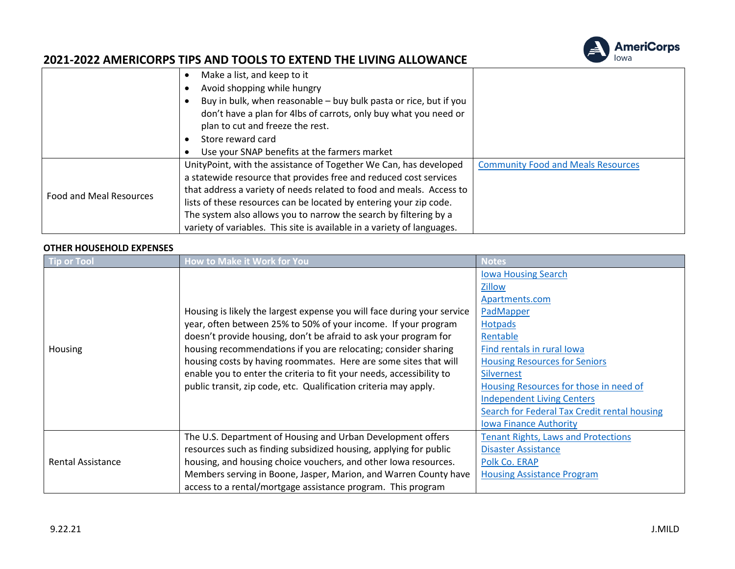

|                                | Make a list, and keep to it                                                                                                                                               |                                           |
|--------------------------------|---------------------------------------------------------------------------------------------------------------------------------------------------------------------------|-------------------------------------------|
|                                | Avoid shopping while hungry                                                                                                                                               |                                           |
|                                | Buy in bulk, when reasonable - buy bulk pasta or rice, but if you<br>don't have a plan for 4lbs of carrots, only buy what you need or<br>plan to cut and freeze the rest. |                                           |
|                                | Store reward card                                                                                                                                                         |                                           |
|                                | Use your SNAP benefits at the farmers market                                                                                                                              |                                           |
|                                | UnityPoint, with the assistance of Together We Can, has developed                                                                                                         | <b>Community Food and Meals Resources</b> |
| <b>Food and Meal Resources</b> | a statewide resource that provides free and reduced cost services                                                                                                         |                                           |
|                                | that address a variety of needs related to food and meals. Access to                                                                                                      |                                           |
|                                | lists of these resources can be located by entering your zip code.                                                                                                        |                                           |
|                                | The system also allows you to narrow the search by filtering by a                                                                                                         |                                           |
|                                | variety of variables. This site is available in a variety of languages.                                                                                                   |                                           |

#### **OTHER HOUSEHOLD EXPENSES**

| <b>Tip or Tool</b>       | <b>How to Make it Work for You</b>                                      | <b>Notes</b>                                 |
|--------------------------|-------------------------------------------------------------------------|----------------------------------------------|
|                          |                                                                         | <b>Iowa Housing Search</b>                   |
|                          |                                                                         | Zillow                                       |
|                          |                                                                         | Apartments.com                               |
|                          | Housing is likely the largest expense you will face during your service | PadMapper                                    |
|                          | year, often between 25% to 50% of your income. If your program          | <b>Hotpads</b>                               |
|                          | doesn't provide housing, don't be afraid to ask your program for        | Rentable                                     |
| Housing                  | housing recommendations if you are relocating; consider sharing         | Find rentals in rural lowa                   |
|                          | housing costs by having roommates. Here are some sites that will        | <b>Housing Resources for Seniors</b>         |
|                          | enable you to enter the criteria to fit your needs, accessibility to    | <b>Silvernest</b>                            |
|                          | public transit, zip code, etc. Qualification criteria may apply.        | Housing Resources for those in need of       |
|                          |                                                                         | <b>Independent Living Centers</b>            |
|                          |                                                                         | Search for Federal Tax Credit rental housing |
|                          |                                                                         | <b>Iowa Finance Authority</b>                |
|                          | The U.S. Department of Housing and Urban Development offers             | <b>Tenant Rights, Laws and Protections</b>   |
|                          | resources such as finding subsidized housing, applying for public       | <b>Disaster Assistance</b>                   |
| <b>Rental Assistance</b> | housing, and housing choice vouchers, and other lowa resources.         | Polk Co. ERAP                                |
|                          | Members serving in Boone, Jasper, Marion, and Warren County have        | <b>Housing Assistance Program</b>            |
|                          | access to a rental/mortgage assistance program. This program            |                                              |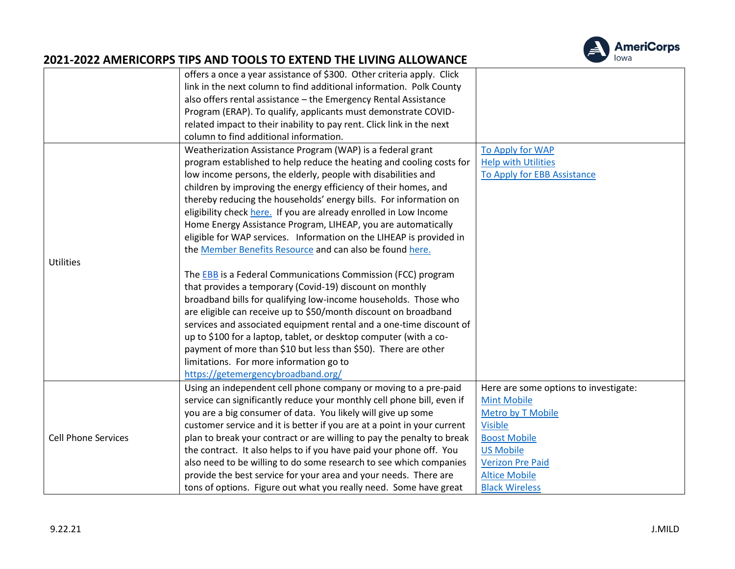

|                            | offers a once a year assistance of \$300. Other criteria apply. Click   |                                       |
|----------------------------|-------------------------------------------------------------------------|---------------------------------------|
|                            | link in the next column to find additional information. Polk County     |                                       |
|                            | also offers rental assistance - the Emergency Rental Assistance         |                                       |
|                            | Program (ERAP). To qualify, applicants must demonstrate COVID-          |                                       |
|                            | related impact to their inability to pay rent. Click link in the next   |                                       |
|                            | column to find additional information.                                  |                                       |
|                            | Weatherization Assistance Program (WAP) is a federal grant              | To Apply for WAP                      |
|                            | program established to help reduce the heating and cooling costs for    | <b>Help with Utilities</b>            |
|                            | low income persons, the elderly, people with disabilities and           | To Apply for EBB Assistance           |
|                            | children by improving the energy efficiency of their homes, and         |                                       |
|                            | thereby reducing the households' energy bills. For information on       |                                       |
|                            | eligibility check here. If you are already enrolled in Low Income       |                                       |
|                            | Home Energy Assistance Program, LIHEAP, you are automatically           |                                       |
|                            | eligible for WAP services. Information on the LIHEAP is provided in     |                                       |
|                            | the Member Benefits Resource and can also be found here.                |                                       |
| <b>Utilities</b>           |                                                                         |                                       |
|                            | The EBB is a Federal Communications Commission (FCC) program            |                                       |
|                            | that provides a temporary (Covid-19) discount on monthly                |                                       |
|                            | broadband bills for qualifying low-income households. Those who         |                                       |
|                            | are eligible can receive up to \$50/month discount on broadband         |                                       |
|                            | services and associated equipment rental and a one-time discount of     |                                       |
|                            | up to \$100 for a laptop, tablet, or desktop computer (with a co-       |                                       |
|                            | payment of more than \$10 but less than \$50). There are other          |                                       |
|                            | limitations. For more information go to                                 |                                       |
|                            | https://getemergencybroadband.org/                                      |                                       |
|                            | Using an independent cell phone company or moving to a pre-paid         | Here are some options to investigate: |
|                            | service can significantly reduce your monthly cell phone bill, even if  | <b>Mint Mobile</b>                    |
|                            | you are a big consumer of data. You likely will give up some            | Metro by T Mobile                     |
|                            | customer service and it is better if you are at a point in your current | <b>Visible</b>                        |
| <b>Cell Phone Services</b> | plan to break your contract or are willing to pay the penalty to break  | <b>Boost Mobile</b>                   |
|                            | the contract. It also helps to if you have paid your phone off. You     | <b>US Mobile</b>                      |
|                            | also need to be willing to do some research to see which companies      | <b>Verizon Pre Paid</b>               |
|                            | provide the best service for your area and your needs. There are        | <b>Altice Mobile</b>                  |
|                            | tons of options. Figure out what you really need. Some have great       | <b>Black Wireless</b>                 |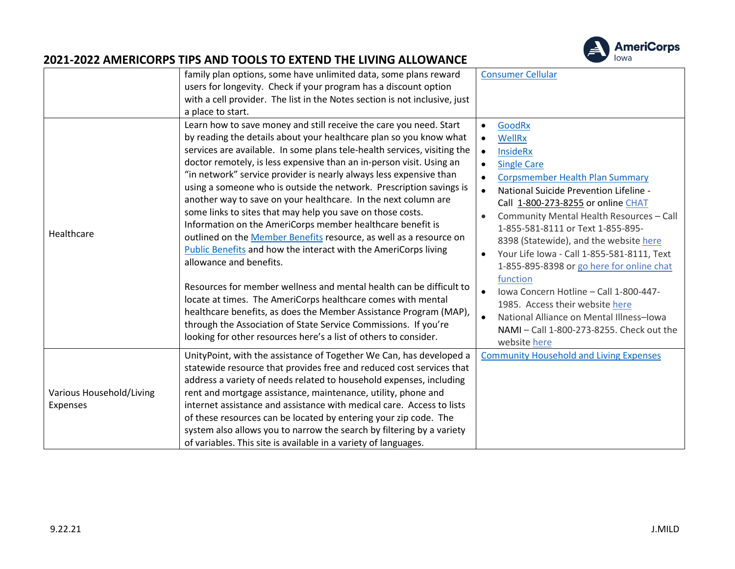

|                                      | family plan options, some have unlimited data, some plans reward<br>users for longevity. Check if your program has a discount option<br>with a cell provider. The list in the Notes section is not inclusive, just<br>a place to start.                                                                                                                                                                                                                                                                                                                                                                                                                                                                                                                                                                                                                                                                                                                                                                                                                                                                                                                        | <b>Consumer Cellular</b>                                                                                                                                                                                                                                                                                                                                                                                                                                                                                                                                                                                                                                        |
|--------------------------------------|----------------------------------------------------------------------------------------------------------------------------------------------------------------------------------------------------------------------------------------------------------------------------------------------------------------------------------------------------------------------------------------------------------------------------------------------------------------------------------------------------------------------------------------------------------------------------------------------------------------------------------------------------------------------------------------------------------------------------------------------------------------------------------------------------------------------------------------------------------------------------------------------------------------------------------------------------------------------------------------------------------------------------------------------------------------------------------------------------------------------------------------------------------------|-----------------------------------------------------------------------------------------------------------------------------------------------------------------------------------------------------------------------------------------------------------------------------------------------------------------------------------------------------------------------------------------------------------------------------------------------------------------------------------------------------------------------------------------------------------------------------------------------------------------------------------------------------------------|
| Healthcare                           | Learn how to save money and still receive the care you need. Start<br>by reading the details about your healthcare plan so you know what<br>services are available. In some plans tele-health services, visiting the<br>doctor remotely, is less expensive than an in-person visit. Using an<br>"in network" service provider is nearly always less expensive than<br>using a someone who is outside the network. Prescription savings is<br>another way to save on your healthcare. In the next column are<br>some links to sites that may help you save on those costs.<br>Information on the AmeriCorps member healthcare benefit is<br>outlined on the Member Benefits resource, as well as a resource on<br>Public Benefits and how the interact with the AmeriCorps living<br>allowance and benefits.<br>Resources for member wellness and mental health can be difficult to<br>locate at times. The AmeriCorps healthcare comes with mental<br>healthcare benefits, as does the Member Assistance Program (MAP),<br>through the Association of State Service Commissions. If you're<br>looking for other resources here's a list of others to consider. | GoodRx<br>$\bullet$<br><b>WellRx</b><br>$\bullet$<br><b>InsideRx</b><br>$\bullet$<br><b>Single Care</b><br>Corpsmember Health Plan Summary<br>National Suicide Prevention Lifeline -<br>$\bullet$<br>Call 1-800-273-8255 or online CHAT<br>Community Mental Health Resources - Call<br>1-855-581-8111 or Text 1-855-895-<br>8398 (Statewide), and the website here<br>Your Life Iowa - Call 1-855-581-8111, Text<br>1-855-895-8398 or go here for online chat<br>function<br>Iowa Concern Hotline - Call 1-800-447-<br>1985. Access their website here<br>National Alliance on Mental Illness-Iowa<br>NAMI - Call 1-800-273-8255. Check out the<br>website here |
| Various Household/Living<br>Expenses | UnityPoint, with the assistance of Together We Can, has developed a<br>statewide resource that provides free and reduced cost services that<br>address a variety of needs related to household expenses, including<br>rent and mortgage assistance, maintenance, utility, phone and<br>internet assistance and assistance with medical care. Access to lists<br>of these resources can be located by entering your zip code. The<br>system also allows you to narrow the search by filtering by a variety<br>of variables. This site is available in a variety of languages.                                                                                                                                                                                                                                                                                                                                                                                                                                                                                                                                                                                   | <b>Community Household and Living Expenses</b>                                                                                                                                                                                                                                                                                                                                                                                                                                                                                                                                                                                                                  |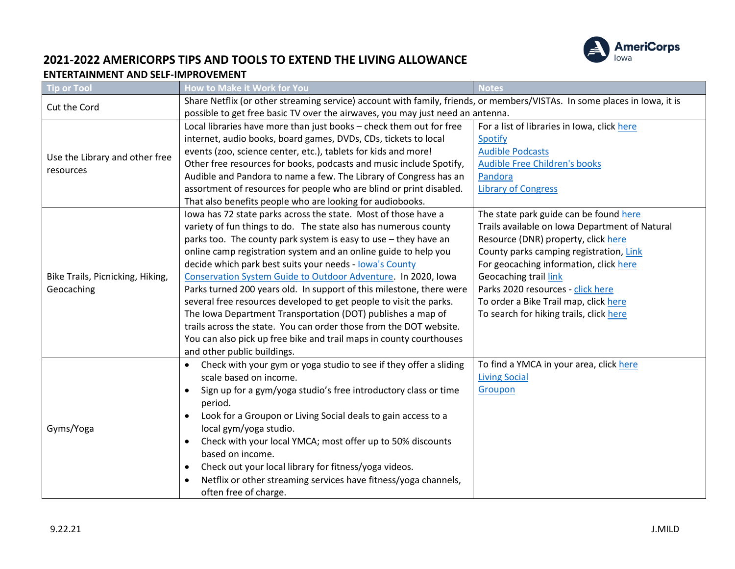

### **2021-2022 AMERICORPS TIPS AND TOOLS TO EXTEND THE LIVING ALLOWANCE ENTERTAINMENT AND SELF-IMPROVEMENT**

| Tip or Tool                      | How to Make it Work for You                                                                                               | <b>Notes</b>                                   |  |
|----------------------------------|---------------------------------------------------------------------------------------------------------------------------|------------------------------------------------|--|
| Cut the Cord                     | Share Netflix (or other streaming service) account with family, friends, or members/VISTAs. In some places in Iowa, it is |                                                |  |
|                                  | possible to get free basic TV over the airwaves, you may just need an antenna.                                            |                                                |  |
|                                  | Local libraries have more than just books - check them out for free                                                       | For a list of libraries in Iowa, click here    |  |
|                                  | internet, audio books, board games, DVDs, CDs, tickets to local                                                           | Spotify                                        |  |
| Use the Library and other free   | events (zoo, science center, etc.), tablets for kids and more!                                                            | <b>Audible Podcasts</b>                        |  |
| resources                        | Other free resources for books, podcasts and music include Spotify,                                                       | <b>Audible Free Children's books</b>           |  |
|                                  | Audible and Pandora to name a few. The Library of Congress has an                                                         | Pandora                                        |  |
|                                  | assortment of resources for people who are blind or print disabled.                                                       | <b>Library of Congress</b>                     |  |
|                                  | That also benefits people who are looking for audiobooks.                                                                 |                                                |  |
|                                  | Iowa has 72 state parks across the state. Most of those have a                                                            | The state park guide can be found here         |  |
|                                  | variety of fun things to do. The state also has numerous county                                                           | Trails available on Iowa Department of Natural |  |
|                                  | parks too. The county park system is easy to use - they have an                                                           | Resource (DNR) property, click here            |  |
|                                  | online camp registration system and an online guide to help you                                                           | County parks camping registration, Link        |  |
|                                  | decide which park best suits your needs - lowa's County                                                                   | For geocaching information, click here         |  |
| Bike Trails, Picnicking, Hiking, | Conservation System Guide to Outdoor Adventure. In 2020, Iowa                                                             | Geocaching trail link                          |  |
| Geocaching                       | Parks turned 200 years old. In support of this milestone, there were                                                      | Parks 2020 resources - click here              |  |
|                                  | several free resources developed to get people to visit the parks.                                                        | To order a Bike Trail map, click here          |  |
|                                  | The Iowa Department Transportation (DOT) publishes a map of                                                               | To search for hiking trails, click here        |  |
|                                  | trails across the state. You can order those from the DOT website.                                                        |                                                |  |
|                                  | You can also pick up free bike and trail maps in county courthouses                                                       |                                                |  |
|                                  | and other public buildings.                                                                                               |                                                |  |
|                                  | Check with your gym or yoga studio to see if they offer a sliding<br>$\bullet$                                            | To find a YMCA in your area, click here        |  |
|                                  | scale based on income.                                                                                                    | <b>Living Social</b>                           |  |
|                                  | Sign up for a gym/yoga studio's free introductory class or time<br>$\bullet$                                              | Groupon                                        |  |
|                                  | period.                                                                                                                   |                                                |  |
|                                  | Look for a Groupon or Living Social deals to gain access to a                                                             |                                                |  |
| Gyms/Yoga                        | local gym/yoga studio.                                                                                                    |                                                |  |
|                                  | Check with your local YMCA; most offer up to 50% discounts<br>$\bullet$                                                   |                                                |  |
|                                  | based on income.                                                                                                          |                                                |  |
|                                  | Check out your local library for fitness/yoga videos.                                                                     |                                                |  |
|                                  | Netflix or other streaming services have fitness/yoga channels,                                                           |                                                |  |
|                                  | often free of charge.                                                                                                     |                                                |  |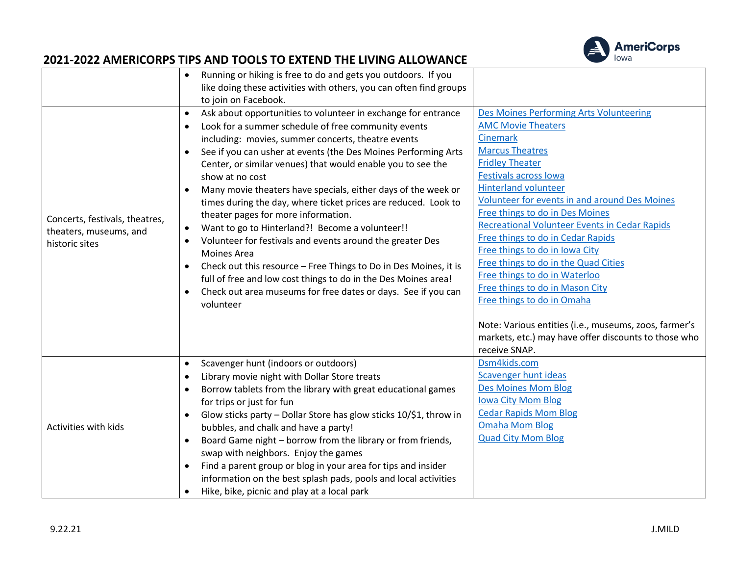

|                                | Running or hiking is free to do and gets you outdoors. If you                  |                                                       |
|--------------------------------|--------------------------------------------------------------------------------|-------------------------------------------------------|
|                                | like doing these activities with others, you can often find groups             |                                                       |
|                                | to join on Facebook.                                                           |                                                       |
|                                | Ask about opportunities to volunteer in exchange for entrance<br>$\bullet$     | Des Moines Performing Arts Volunteering               |
|                                | Look for a summer schedule of free community events                            | <b>AMC Movie Theaters</b>                             |
|                                | including: movies, summer concerts, theatre events                             | <b>Cinemark</b>                                       |
|                                | See if you can usher at events (the Des Moines Performing Arts<br>$\bullet$    | <b>Marcus Theatres</b>                                |
|                                | Center, or similar venues) that would enable you to see the                    | <b>Fridley Theater</b>                                |
|                                | show at no cost                                                                | <b>Festivals across lowa</b>                          |
|                                | Many movie theaters have specials, either days of the week or<br>$\bullet$     | <b>Hinterland volunteer</b>                           |
|                                | times during the day, where ticket prices are reduced. Look to                 | Volunteer for events in and around Des Moines         |
| Concerts, festivals, theatres, | theater pages for more information.                                            | Free things to do in Des Moines                       |
| theaters, museums, and         | Want to go to Hinterland?! Become a volunteer!!<br>$\bullet$                   | <b>Recreational Volunteer Events in Cedar Rapids</b>  |
| historic sites                 | Volunteer for festivals and events around the greater Des<br>$\bullet$         | Free things to do in Cedar Rapids                     |
|                                | <b>Moines Area</b>                                                             | Free things to do in Iowa City                        |
|                                | Check out this resource - Free Things to Do in Des Moines, it is<br>$\bullet$  | Free things to do in the Quad Cities                  |
|                                | full of free and low cost things to do in the Des Moines area!                 | Free things to do in Waterloo                         |
|                                | Check out area museums for free dates or days. See if you can                  | Free things to do in Mason City                       |
|                                | volunteer                                                                      | Free things to do in Omaha                            |
|                                |                                                                                | Note: Various entities (i.e., museums, zoos, farmer's |
|                                |                                                                                | markets, etc.) may have offer discounts to those who  |
|                                |                                                                                | receive SNAP.                                         |
|                                | Scavenger hunt (indoors or outdoors)<br>$\bullet$                              | Dsm4kids.com                                          |
|                                | Library movie night with Dollar Store treats<br>$\bullet$                      | Scavenger hunt ideas                                  |
|                                | Borrow tablets from the library with great educational games                   | <b>Des Moines Mom Blog</b>                            |
|                                | for trips or just for fun                                                      | <b>Iowa City Mom Blog</b>                             |
|                                | Glow sticks party - Dollar Store has glow sticks 10/\$1, throw in<br>$\bullet$ | <b>Cedar Rapids Mom Blog</b>                          |
| Activities with kids           | bubbles, and chalk and have a party!                                           | <b>Omaha Mom Blog</b>                                 |
|                                | Board Game night - borrow from the library or from friends,<br>$\bullet$       | <b>Quad City Mom Blog</b>                             |
|                                | swap with neighbors. Enjoy the games                                           |                                                       |
|                                | Find a parent group or blog in your area for tips and insider                  |                                                       |
|                                | information on the best splash pads, pools and local activities                |                                                       |
|                                | Hike, bike, picnic and play at a local park<br>$\bullet$                       |                                                       |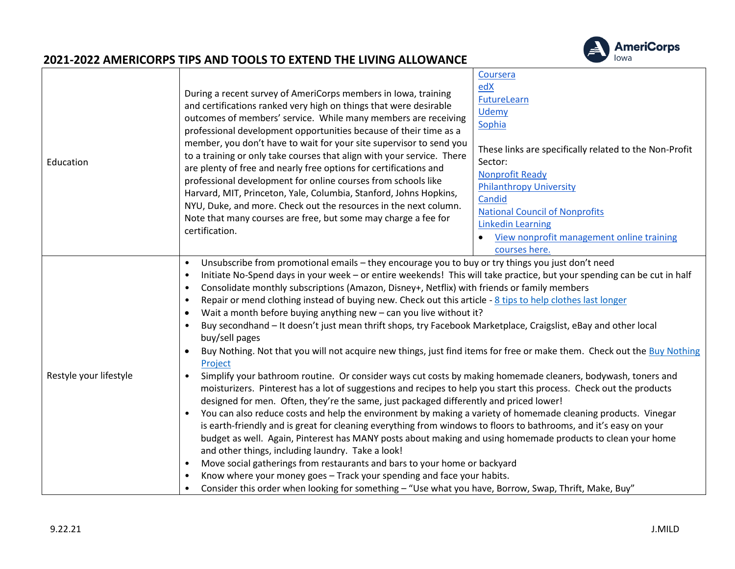

| Education              | During a recent survey of AmeriCorps members in Iowa, training<br>and certifications ranked very high on things that were desirable<br>outcomes of members' service. While many members are receiving<br>professional development opportunities because of their time as a<br>member, you don't have to wait for your site supervisor to send you<br>to a training or only take courses that align with your service. There<br>are plenty of free and nearly free options for certifications and<br>professional development for online courses from schools like<br>Harvard, MIT, Princeton, Yale, Columbia, Stanford, Johns Hopkins,<br>NYU, Duke, and more. Check out the resources in the next column.<br>Note that many courses are free, but some may charge a fee for<br>certification.                                                                                                                                                                                                                                                                                                                                                                                                                                                                                                                                                                                                                                                                                                                                                                                                                                                                                                                                                                                                                                                                                                                                                                   | Coursera<br>edX<br>FutureLearn<br>Udemy<br>Sophia<br>These links are specifically related to the Non-Profit<br>Sector:<br><b>Nonprofit Ready</b><br><b>Philanthropy University</b><br>Candid<br><b>National Council of Nonprofits</b><br><b>Linkedin Learning</b><br>View nonprofit management online training<br>courses here. |
|------------------------|------------------------------------------------------------------------------------------------------------------------------------------------------------------------------------------------------------------------------------------------------------------------------------------------------------------------------------------------------------------------------------------------------------------------------------------------------------------------------------------------------------------------------------------------------------------------------------------------------------------------------------------------------------------------------------------------------------------------------------------------------------------------------------------------------------------------------------------------------------------------------------------------------------------------------------------------------------------------------------------------------------------------------------------------------------------------------------------------------------------------------------------------------------------------------------------------------------------------------------------------------------------------------------------------------------------------------------------------------------------------------------------------------------------------------------------------------------------------------------------------------------------------------------------------------------------------------------------------------------------------------------------------------------------------------------------------------------------------------------------------------------------------------------------------------------------------------------------------------------------------------------------------------------------------------------------------------------------|---------------------------------------------------------------------------------------------------------------------------------------------------------------------------------------------------------------------------------------------------------------------------------------------------------------------------------|
| Restyle your lifestyle | Unsubscribe from promotional emails - they encourage you to buy or try things you just don't need<br>$\bullet$<br>Initiate No-Spend days in your week - or entire weekends! This will take practice, but your spending can be cut in half<br>$\bullet$<br>Consolidate monthly subscriptions (Amazon, Disney+, Netflix) with friends or family members<br>$\bullet$<br>Repair or mend clothing instead of buying new. Check out this article - 8 tips to help clothes last longer<br>$\bullet$<br>Wait a month before buying anything new - can you live without it?<br>$\bullet$<br>Buy secondhand - It doesn't just mean thrift shops, try Facebook Marketplace, Craigslist, eBay and other local<br>$\bullet$<br>buy/sell pages<br>Buy Nothing. Not that you will not acquire new things, just find items for free or make them. Check out the Buy Nothing<br>$\bullet$<br>Project<br>Simplify your bathroom routine. Or consider ways cut costs by making homemade cleaners, bodywash, toners and<br>$\bullet$<br>moisturizers. Pinterest has a lot of suggestions and recipes to help you start this process. Check out the products<br>designed for men. Often, they're the same, just packaged differently and priced lower!<br>You can also reduce costs and help the environment by making a variety of homemade cleaning products. Vinegar<br>$\bullet$<br>is earth-friendly and is great for cleaning everything from windows to floors to bathrooms, and it's easy on your<br>budget as well. Again, Pinterest has MANY posts about making and using homemade products to clean your home<br>and other things, including laundry. Take a look!<br>Move social gatherings from restaurants and bars to your home or backyard<br>$\bullet$<br>Know where your money goes - Track your spending and face your habits.<br>$\bullet$<br>Consider this order when looking for something - "Use what you have, Borrow, Swap, Thrift, Make, Buy"<br>$\bullet$ |                                                                                                                                                                                                                                                                                                                                 |